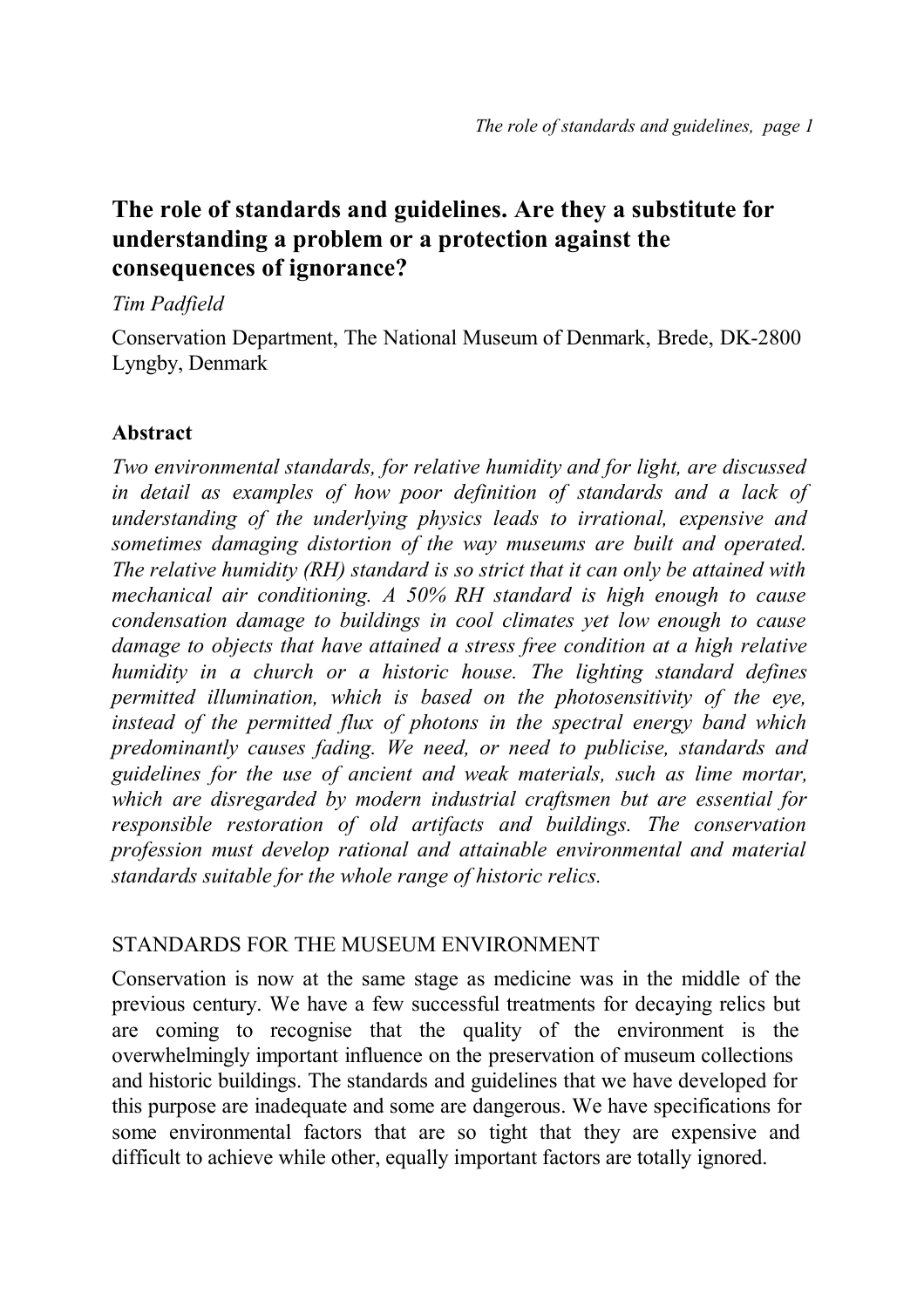# **The role of standards and guidelines. Are they a substitute for understanding a problem or a protection against the consequences of ignorance?**

#### *Tim Padfield*

Conservation Department, The National Museum of Denmark, Brede, DK-2800 Lyngby, Denmark

# **Abstract**

*Two environmental standards, for relative humidity and for light, are discussed in detail as examples of how poor definition of standards and a lack of understanding of the underlying physics leads to irrational, expensive and sometimes damaging distortion of the way museums are built and operated. The relative humidity (RH) standard is so strict that it can only be attained with mechanical air conditioning. A 50% RH standard is high enough to cause condensation damage to buildings in cool climates yet low enough to cause damage to objects that have attained a stress free condition at a high relative humidity in a church or a historic house. The lighting standard defines permitted illumination, which is based on the photosensitivity of the eye, instead of the permitted flux of photons in the spectral energy band which predominantly causes fading. We need, or need to publicise, standards and guidelines for the use of ancient and weak materials, such as lime mortar, which are disregarded by modern industrial craftsmen but are essential for responsible restoration of old artifacts and buildings. The conservation profession must develop rational and attainable environmental and material standards suitable for the whole range of historic relics.* 

#### STANDARDS FOR THE MUSEUM ENVIRONMENT

Conservation is now at the same stage as medicine was in the middle of the previous century. We have a few successful treatments for decaying relics but are coming to recognise that the quality of the environment is the overwhelmingly important influence on the preservation of museum collections and historic buildings. The standards and guidelines that we have developed for this purpose are inadequate and some are dangerous. We have specifications for some environmental factors that are so tight that they are expensive and difficult to achieve while other, equally important factors are totally ignored.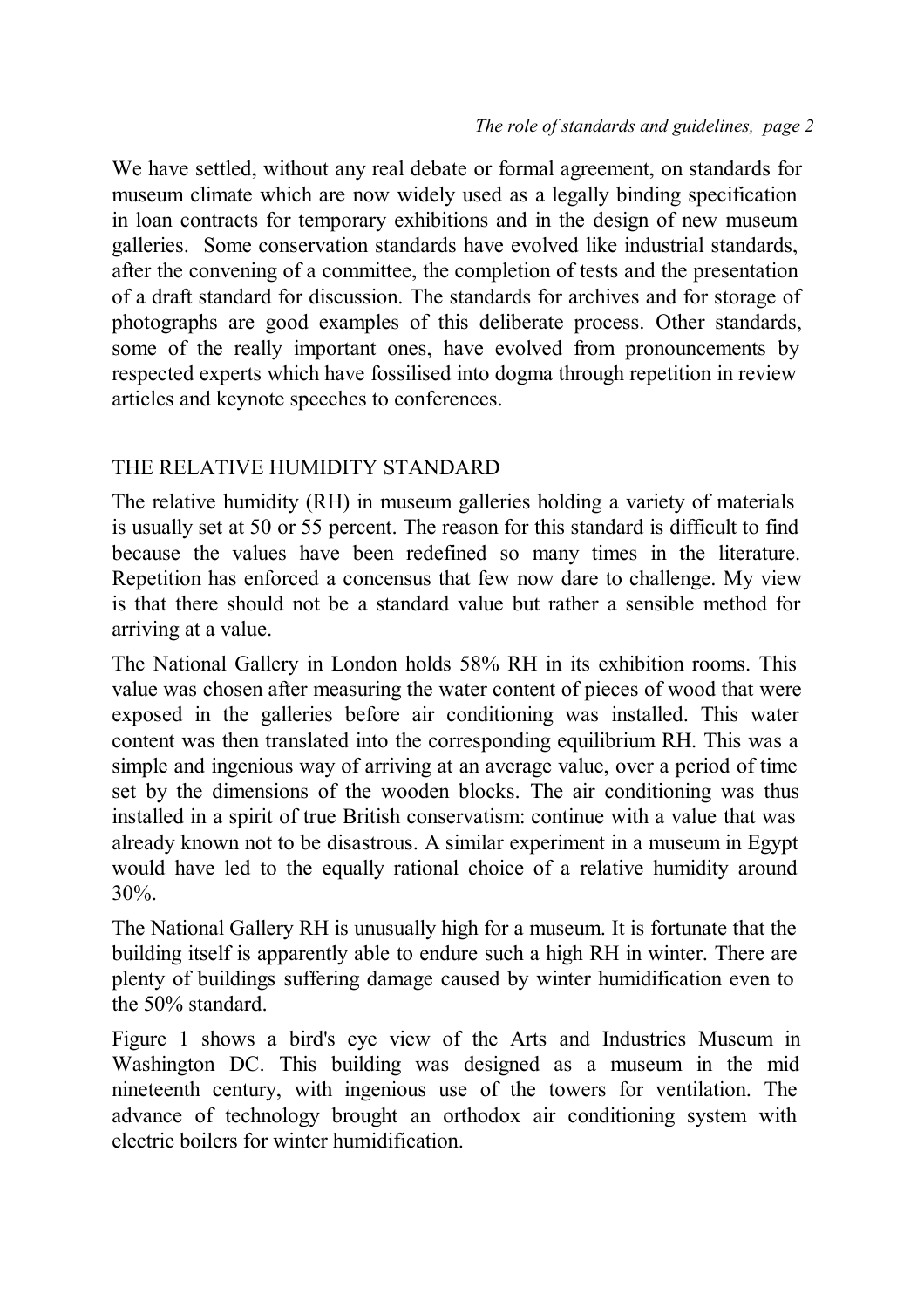We have settled, without any real debate or formal agreement, on standards for museum climate which are now widely used as a legally binding specification in loan contracts for temporary exhibitions and in the design of new museum galleries. Some conservation standards have evolved like industrial standards, after the convening of a committee, the completion of tests and the presentation of a draft standard for discussion. The standards for archives and for storage of photographs are good examples of this deliberate process. Other standards, some of the really important ones, have evolved from pronouncements by respected experts which have fossilised into dogma through repetition in review articles and keynote speeches to conferences.

# THE RELATIVE HUMIDITY STANDARD

The relative humidity (RH) in museum galleries holding a variety of materials is usually set at 50 or 55 percent. The reason for this standard is difficult to find because the values have been redefined so many times in the literature. Repetition has enforced a concensus that few now dare to challenge. My view is that there should not be a standard value but rather a sensible method for arriving at a value.

The National Gallery in London holds 58% RH in its exhibition rooms. This value was chosen after measuring the water content of pieces of wood that were exposed in the galleries before air conditioning was installed. This water content was then translated into the corresponding equilibrium RH. This was a simple and ingenious way of arriving at an average value, over a period of time set by the dimensions of the wooden blocks. The air conditioning was thus installed in a spirit of true British conservatism: continue with a value that was already known not to be disastrous. A similar experiment in a museum in Egypt would have led to the equally rational choice of a relative humidity around 30%.

The National Gallery RH is unusually high for a museum. It is fortunate that the building itself is apparently able to endure such a high RH in winter. There are plenty of buildings suffering damage caused by winter humidification even to the 50% standard.

Figure 1 shows a bird's eye view of the Arts and Industries Museum in Washington DC. This building was designed as a museum in the mid nineteenth century, with ingenious use of the towers for ventilation. The advance of technology brought an orthodox air conditioning system with electric boilers for winter humidification.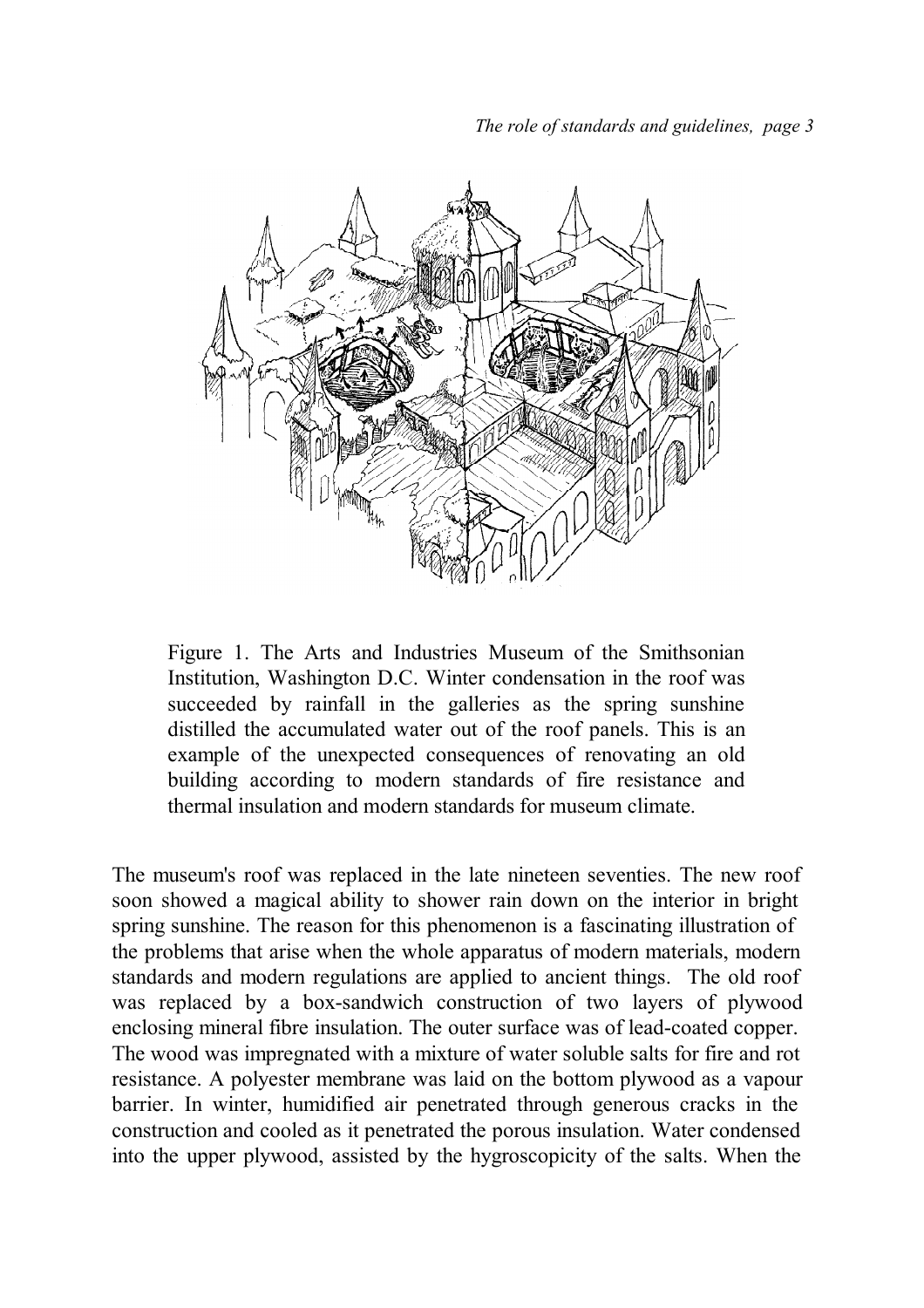

Figure 1. The Arts and Industries Museum of the Smithsonian Institution, Washington D.C. Winter condensation in the roof was succeeded by rainfall in the galleries as the spring sunshine distilled the accumulated water out of the roof panels. This is an example of the unexpected consequences of renovating an old building according to modern standards of fire resistance and thermal insulation and modern standards for museum climate.

The museum's roof was replaced in the late nineteen seventies. The new roof soon showed a magical ability to shower rain down on the interior in bright spring sunshine. The reason for this phenomenon is a fascinating illustration of the problems that arise when the whole apparatus of modern materials, modern standards and modern regulations are applied to ancient things. The old roof was replaced by a box-sandwich construction of two layers of plywood enclosing mineral fibre insulation. The outer surface was of lead-coated copper. The wood was impregnated with a mixture of water soluble salts for fire and rot resistance. A polyester membrane was laid on the bottom plywood as a vapour barrier. In winter, humidified air penetrated through generous cracks in the construction and cooled as it penetrated the porous insulation. Water condensed into the upper plywood, assisted by the hygroscopicity of the salts. When the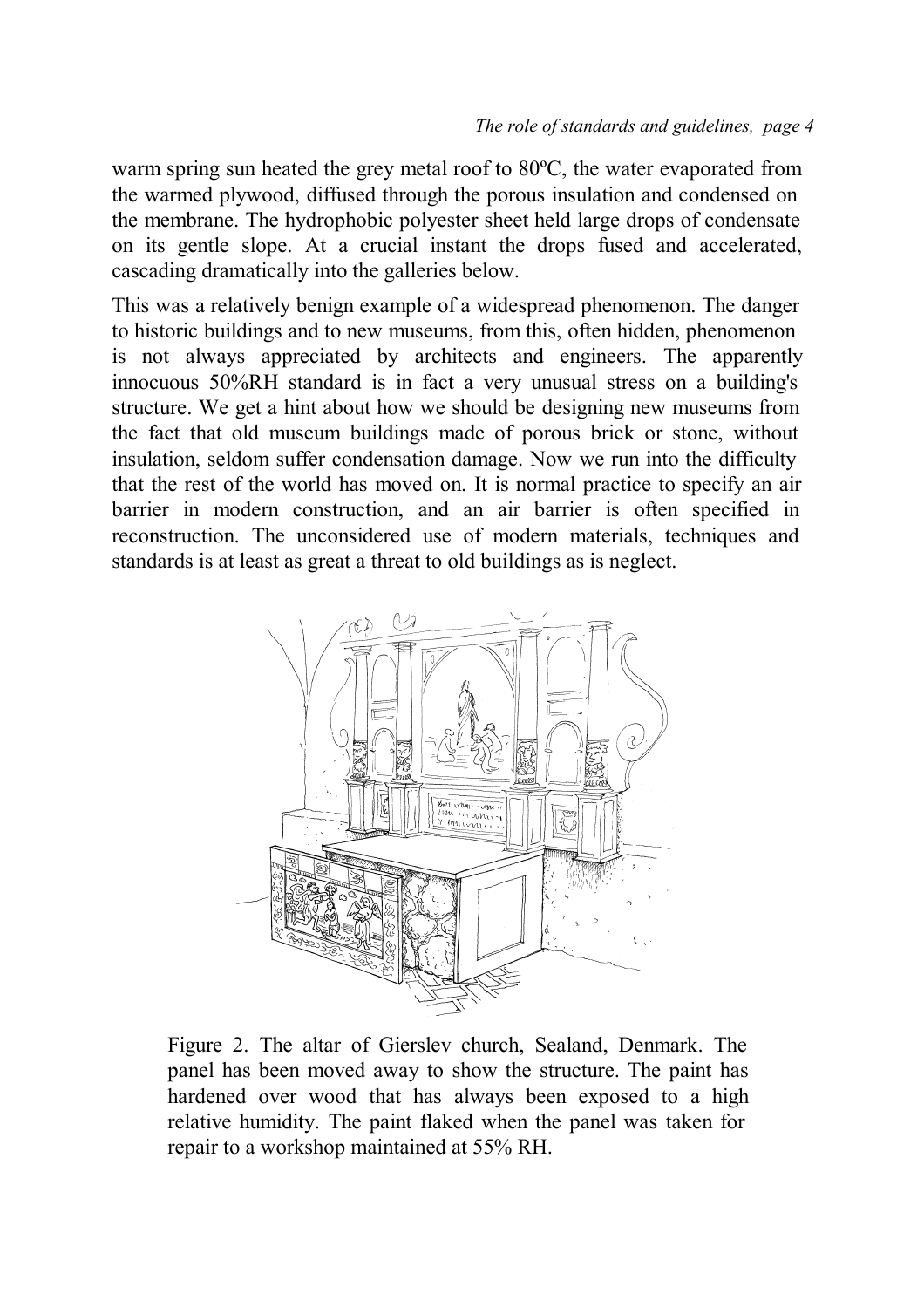warm spring sun heated the grey metal roof to 80ºC, the water evaporated from the warmed plywood, diffused through the porous insulation and condensed on the membrane. The hydrophobic polyester sheet held large drops of condensate on its gentle slope. At a crucial instant the drops fused and accelerated, cascading dramatically into the galleries below.

This was a relatively benign example of a widespread phenomenon. The danger to historic buildings and to new museums, from this, often hidden, phenomenon is not always appreciated by architects and engineers. The apparently innocuous 50%RH standard is in fact a very unusual stress on a building's structure. We get a hint about how we should be designing new museums from the fact that old museum buildings made of porous brick or stone, without insulation, seldom suffer condensation damage. Now we run into the difficulty that the rest of the world has moved on. It is normal practice to specify an air barrier in modern construction, and an air barrier is often specified in reconstruction. The unconsidered use of modern materials, techniques and standards is at least as great a threat to old buildings as is neglect.



Figure 2. The altar of Gierslev church, Sealand, Denmark. The panel has been moved away to show the structure. The paint has hardened over wood that has always been exposed to a high relative humidity. The paint flaked when the panel was taken for repair to a workshop maintained at 55% RH.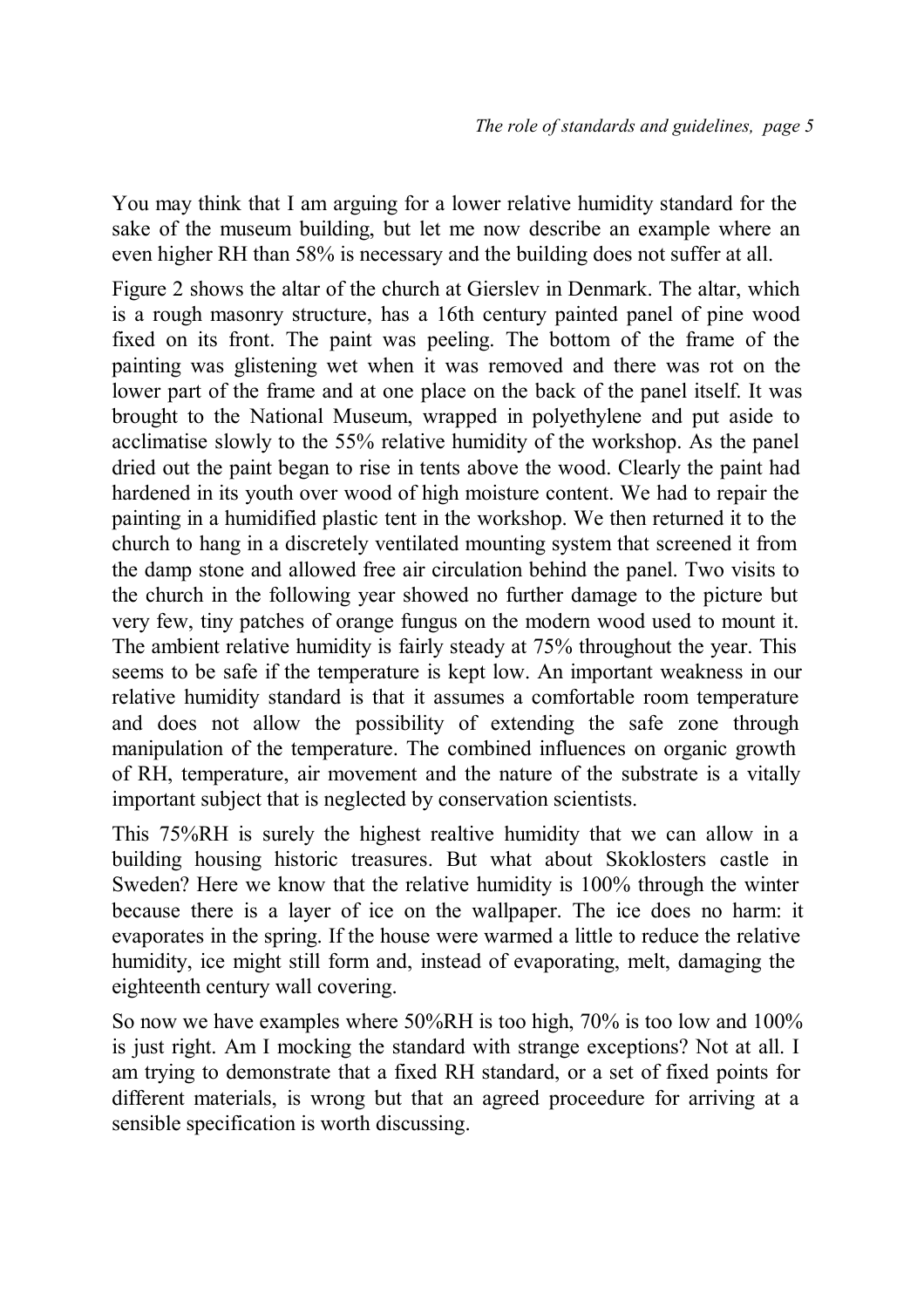You may think that I am arguing for a lower relative humidity standard for the sake of the museum building, but let me now describe an example where an even higher RH than 58% is necessary and the building does not suffer at all.

Figure 2 shows the altar of the church at Gierslev in Denmark. The altar, which is a rough masonry structure, has a 16th century painted panel of pine wood fixed on its front. The paint was peeling. The bottom of the frame of the painting was glistening wet when it was removed and there was rot on the lower part of the frame and at one place on the back of the panel itself. It was brought to the National Museum, wrapped in polyethylene and put aside to acclimatise slowly to the 55% relative humidity of the workshop. As the panel dried out the paint began to rise in tents above the wood. Clearly the paint had hardened in its youth over wood of high moisture content. We had to repair the painting in a humidified plastic tent in the workshop. We then returned it to the church to hang in a discretely ventilated mounting system that screened it from the damp stone and allowed free air circulation behind the panel. Two visits to the church in the following year showed no further damage to the picture but very few, tiny patches of orange fungus on the modern wood used to mount it. The ambient relative humidity is fairly steady at 75% throughout the year. This seems to be safe if the temperature is kept low. An important weakness in our relative humidity standard is that it assumes a comfortable room temperature and does not allow the possibility of extending the safe zone through manipulation of the temperature. The combined influences on organic growth of RH, temperature, air movement and the nature of the substrate is a vitally important subject that is neglected by conservation scientists.

This 75%RH is surely the highest realtive humidity that we can allow in a building housing historic treasures. But what about Skoklosters castle in Sweden? Here we know that the relative humidity is 100% through the winter because there is a layer of ice on the wallpaper. The ice does no harm: it evaporates in the spring. If the house were warmed a little to reduce the relative humidity, ice might still form and, instead of evaporating, melt, damaging the eighteenth century wall covering.

So now we have examples where 50%RH is too high, 70% is too low and 100% is just right. Am I mocking the standard with strange exceptions? Not at all. I am trying to demonstrate that a fixed RH standard, or a set of fixed points for different materials, is wrong but that an agreed proceedure for arriving at a sensible specification is worth discussing.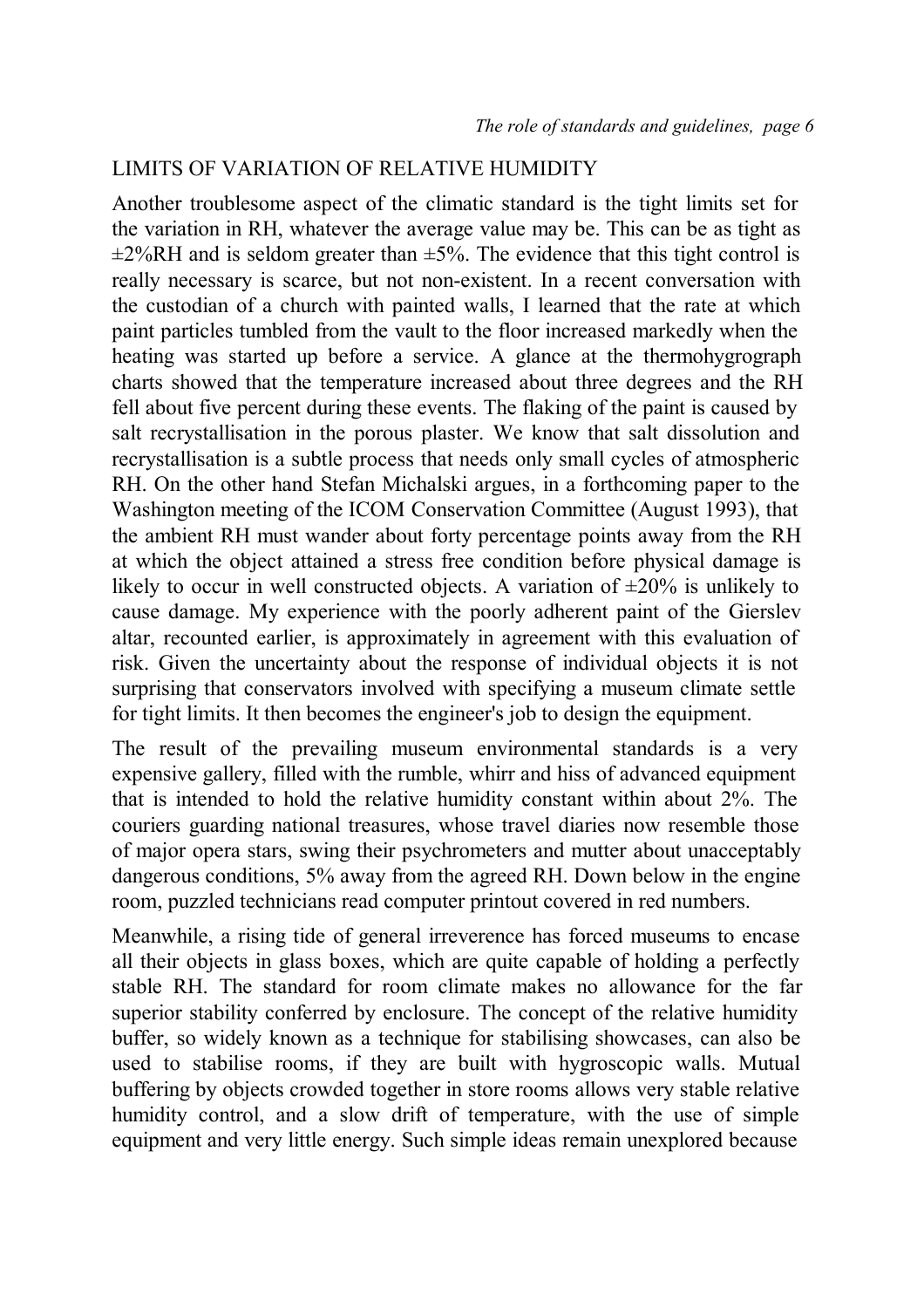#### LIMITS OF VARIATION OF RELATIVE HUMIDITY

Another troublesome aspect of the climatic standard is the tight limits set for the variation in RH, whatever the average value may be. This can be as tight as  $\pm$ 2%RH and is seldom greater than  $\pm$ 5%. The evidence that this tight control is really necessary is scarce, but not non-existent. In a recent conversation with the custodian of a church with painted walls, I learned that the rate at which paint particles tumbled from the vault to the floor increased markedly when the heating was started up before a service. A glance at the thermohygrograph charts showed that the temperature increased about three degrees and the RH fell about five percent during these events. The flaking of the paint is caused by salt recrystallisation in the porous plaster. We know that salt dissolution and recrystallisation is a subtle process that needs only small cycles of atmospheric RH. On the other hand Stefan Michalski argues, in a forthcoming paper to the Washington meeting of the ICOM Conservation Committee (August 1993), that the ambient RH must wander about forty percentage points away from the RH at which the object attained a stress free condition before physical damage is likely to occur in well constructed objects. A variation of  $\pm 20\%$  is unlikely to cause damage. My experience with the poorly adherent paint of the Gierslev altar, recounted earlier, is approximately in agreement with this evaluation of risk. Given the uncertainty about the response of individual objects it is not surprising that conservators involved with specifying a museum climate settle for tight limits. It then becomes the engineer's job to design the equipment.

The result of the prevailing museum environmental standards is a very expensive gallery, filled with the rumble, whirr and hiss of advanced equipment that is intended to hold the relative humidity constant within about 2%. The couriers guarding national treasures, whose travel diaries now resemble those of major opera stars, swing their psychrometers and mutter about unacceptably dangerous conditions, 5% away from the agreed RH. Down below in the engine room, puzzled technicians read computer printout covered in red numbers.

Meanwhile, a rising tide of general irreverence has forced museums to encase all their objects in glass boxes, which are quite capable of holding a perfectly stable RH. The standard for room climate makes no allowance for the far superior stability conferred by enclosure. The concept of the relative humidity buffer, so widely known as a technique for stabilising showcases, can also be used to stabilise rooms, if they are built with hygroscopic walls. Mutual buffering by objects crowded together in store rooms allows very stable relative humidity control, and a slow drift of temperature, with the use of simple equipment and very little energy. Such simple ideas remain unexplored because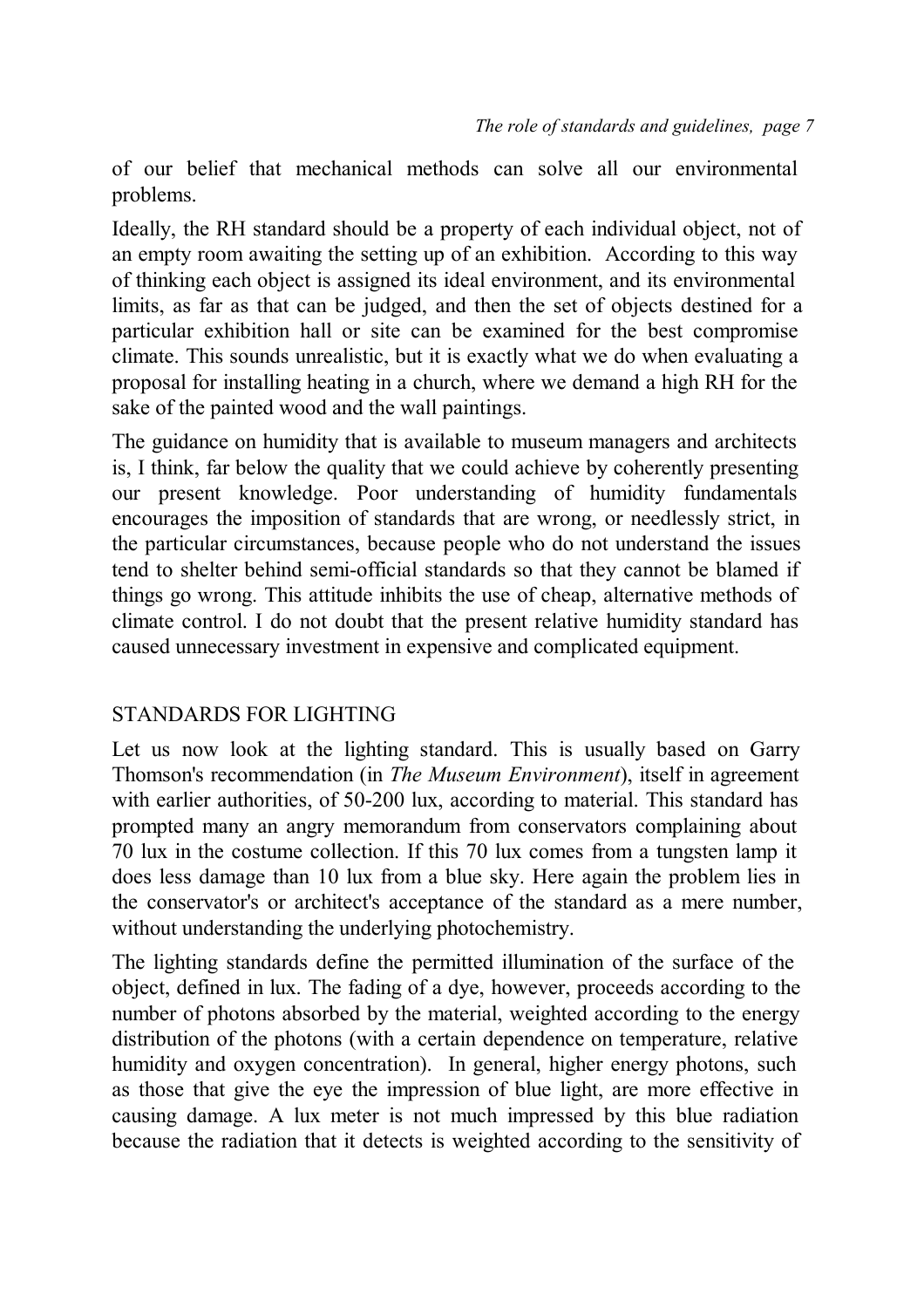of our belief that mechanical methods can solve all our environmental problems.

Ideally, the RH standard should be a property of each individual object, not of an empty room awaiting the setting up of an exhibition. According to this way of thinking each object is assigned its ideal environment, and its environmental limits, as far as that can be judged, and then the set of objects destined for a particular exhibition hall or site can be examined for the best compromise climate. This sounds unrealistic, but it is exactly what we do when evaluating a proposal for installing heating in a church, where we demand a high RH for the sake of the painted wood and the wall paintings.

The guidance on humidity that is available to museum managers and architects is, I think, far below the quality that we could achieve by coherently presenting our present knowledge. Poor understanding of humidity fundamentals encourages the imposition of standards that are wrong, or needlessly strict, in the particular circumstances, because people who do not understand the issues tend to shelter behind semi-official standards so that they cannot be blamed if things go wrong. This attitude inhibits the use of cheap, alternative methods of climate control. I do not doubt that the present relative humidity standard has caused unnecessary investment in expensive and complicated equipment.

#### STANDARDS FOR LIGHTING

Let us now look at the lighting standard. This is usually based on Garry Thomson's recommendation (in *The Museum Environment*), itself in agreement with earlier authorities, of 50-200 lux, according to material. This standard has prompted many an angry memorandum from conservators complaining about 70 lux in the costume collection. If this 70 lux comes from a tungsten lamp it does less damage than 10 lux from a blue sky. Here again the problem lies in the conservator's or architect's acceptance of the standard as a mere number, without understanding the underlying photochemistry.

The lighting standards define the permitted illumination of the surface of the object, defined in lux. The fading of a dye, however, proceeds according to the number of photons absorbed by the material, weighted according to the energy distribution of the photons (with a certain dependence on temperature, relative humidity and oxygen concentration). In general, higher energy photons, such as those that give the eye the impression of blue light, are more effective in causing damage. A lux meter is not much impressed by this blue radiation because the radiation that it detects is weighted according to the sensitivity of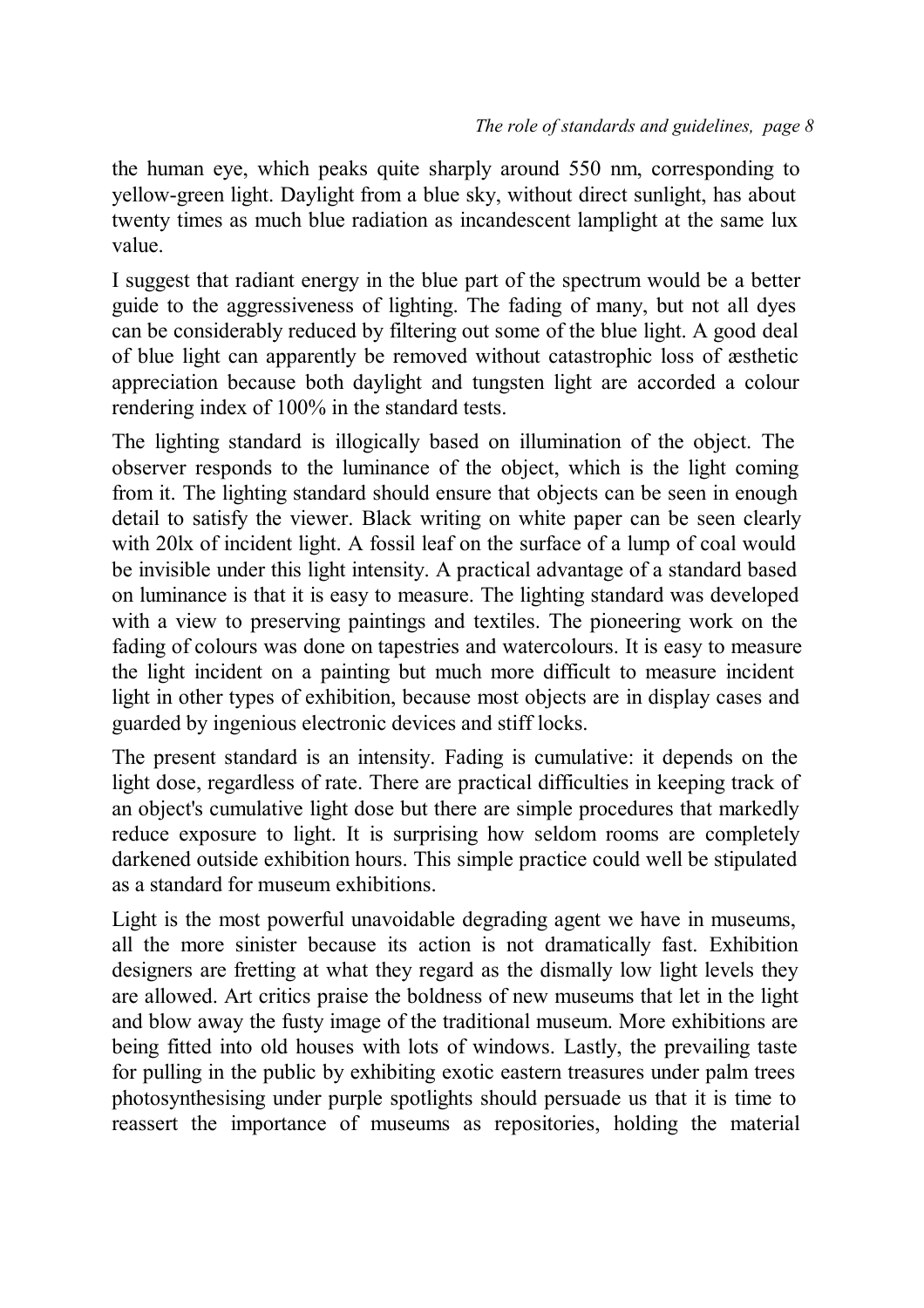the human eye, which peaks quite sharply around 550 nm, corresponding to yellow-green light. Daylight from a blue sky, without direct sunlight, has about twenty times as much blue radiation as incandescent lamplight at the same lux value.

I suggest that radiant energy in the blue part of the spectrum would be a better guide to the aggressiveness of lighting. The fading of many, but not all dyes can be considerably reduced by filtering out some of the blue light. A good deal of blue light can apparently be removed without catastrophic loss of æsthetic appreciation because both daylight and tungsten light are accorded a colour rendering index of 100% in the standard tests.

The lighting standard is illogically based on illumination of the object. The observer responds to the luminance of the object, which is the light coming from it. The lighting standard should ensure that objects can be seen in enough detail to satisfy the viewer. Black writing on white paper can be seen clearly with 20lx of incident light. A fossil leaf on the surface of a lump of coal would be invisible under this light intensity. A practical advantage of a standard based on luminance is that it is easy to measure. The lighting standard was developed with a view to preserving paintings and textiles. The pioneering work on the fading of colours was done on tapestries and watercolours. It is easy to measure the light incident on a painting but much more difficult to measure incident light in other types of exhibition, because most objects are in display cases and guarded by ingenious electronic devices and stiff locks.

The present standard is an intensity. Fading is cumulative: it depends on the light dose, regardless of rate. There are practical difficulties in keeping track of an object's cumulative light dose but there are simple procedures that markedly reduce exposure to light. It is surprising how seldom rooms are completely darkened outside exhibition hours. This simple practice could well be stipulated as a standard for museum exhibitions.

Light is the most powerful unavoidable degrading agent we have in museums, all the more sinister because its action is not dramatically fast. Exhibition designers are fretting at what they regard as the dismally low light levels they are allowed. Art critics praise the boldness of new museums that let in the light and blow away the fusty image of the traditional museum. More exhibitions are being fitted into old houses with lots of windows. Lastly, the prevailing taste for pulling in the public by exhibiting exotic eastern treasures under palm trees photosynthesising under purple spotlights should persuade us that it is time to reassert the importance of museums as repositories, holding the material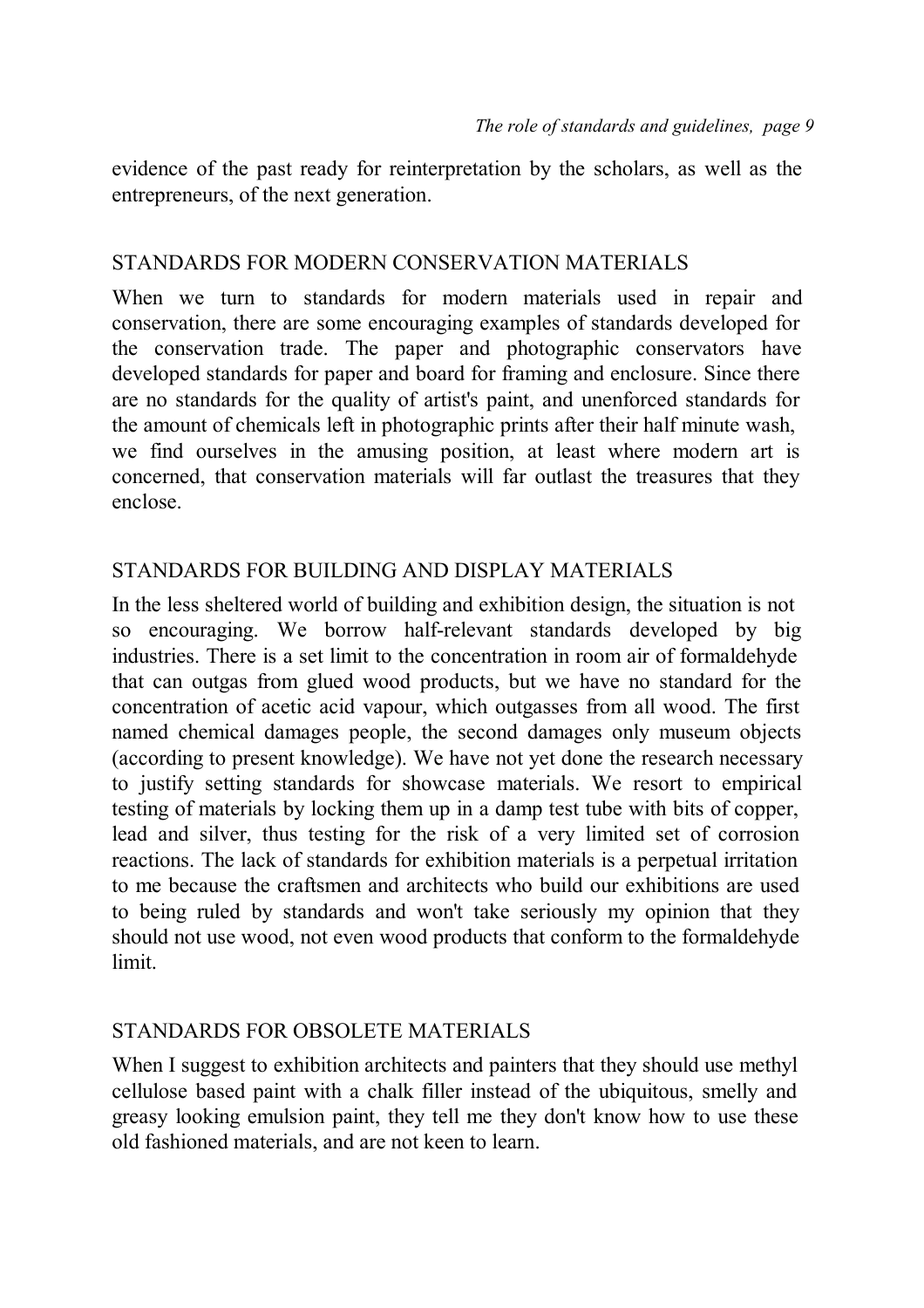evidence of the past ready for reinterpretation by the scholars, as well as the entrepreneurs, of the next generation.

# STANDARDS FOR MODERN CONSERVATION MATERIALS

When we turn to standards for modern materials used in repair and conservation, there are some encouraging examples of standards developed for the conservation trade. The paper and photographic conservators have developed standards for paper and board for framing and enclosure. Since there are no standards for the quality of artist's paint, and unenforced standards for the amount of chemicals left in photographic prints after their half minute wash, we find ourselves in the amusing position, at least where modern art is concerned, that conservation materials will far outlast the treasures that they enclose.

# STANDARDS FOR BUILDING AND DISPLAY MATERIALS

In the less sheltered world of building and exhibition design, the situation is not so encouraging. We borrow half-relevant standards developed by big industries. There is a set limit to the concentration in room air of formaldehyde that can outgas from glued wood products, but we have no standard for the concentration of acetic acid vapour, which outgasses from all wood. The first named chemical damages people, the second damages only museum objects (according to present knowledge). We have not yet done the research necessary to justify setting standards for showcase materials. We resort to empirical testing of materials by locking them up in a damp test tube with bits of copper, lead and silver, thus testing for the risk of a very limited set of corrosion reactions. The lack of standards for exhibition materials is a perpetual irritation to me because the craftsmen and architects who build our exhibitions are used to being ruled by standards and won't take seriously my opinion that they should not use wood, not even wood products that conform to the formaldehyde limit.

#### STANDARDS FOR OBSOLETE MATERIALS

When I suggest to exhibition architects and painters that they should use methyl cellulose based paint with a chalk filler instead of the ubiquitous, smelly and greasy looking emulsion paint, they tell me they don't know how to use these old fashioned materials, and are not keen to learn.